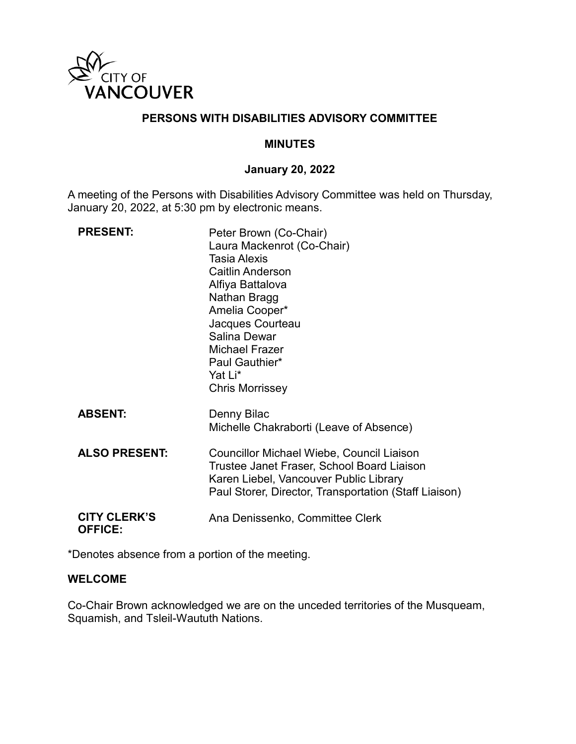

# **PERSONS WITH DISABILITIES ADVISORY COMMITTEE**

#### **MINUTES**

## **January 20, 2022**

A meeting of the Persons with Disabilities Advisory Committee was held on Thursday, January 20, 2022, at 5:30 pm by electronic means.

| <b>PRESENT:</b>                       | Peter Brown (Co-Chair)<br>Laura Mackenrot (Co-Chair)<br><b>Tasia Alexis</b><br><b>Caitlin Anderson</b><br>Alfiya Battalova<br>Nathan Bragg<br>Amelia Cooper*<br>Jacques Courteau<br>Salina Dewar<br>Michael Frazer<br>Paul Gauthier*<br>Yat Li*<br><b>Chris Morrissey</b> |
|---------------------------------------|---------------------------------------------------------------------------------------------------------------------------------------------------------------------------------------------------------------------------------------------------------------------------|
| <b>ABSENT:</b>                        | Denny Bilac<br>Michelle Chakraborti (Leave of Absence)                                                                                                                                                                                                                    |
| <b>ALSO PRESENT:</b>                  | Councillor Michael Wiebe, Council Liaison<br>Trustee Janet Fraser, School Board Liaison<br>Karen Liebel, Vancouver Public Library<br>Paul Storer, Director, Transportation (Staff Liaison)                                                                                |
| <b>CITY CLERK'S</b><br><b>OFFICE:</b> | Ana Denissenko, Committee Clerk                                                                                                                                                                                                                                           |

\*Denotes absence from a portion of the meeting.

#### **WELCOME**

Co-Chair Brown acknowledged we are on the unceded territories of the Musqueam, Squamish, and Tsleil-Waututh Nations.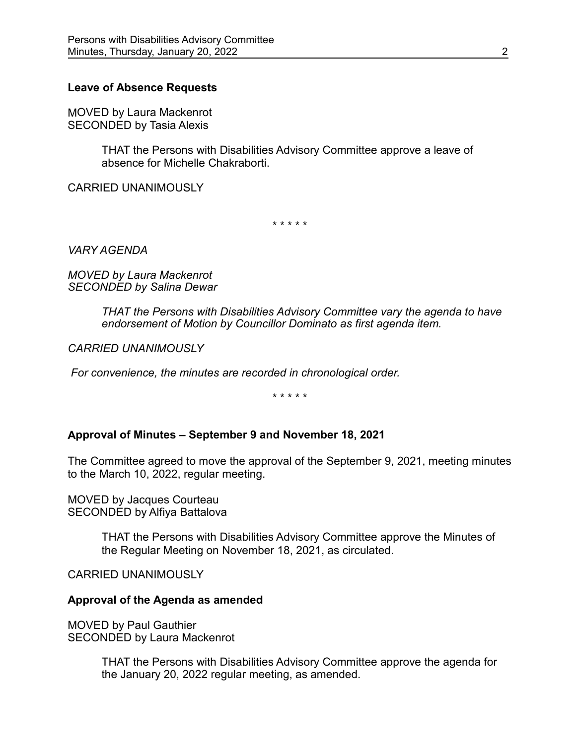#### **Leave of Absence Requests**

MOVED by Laura Mackenrot SECONDED by Tasia Alexis

> THAT the Persons with Disabilities Advisory Committee approve a leave of absence for Michelle Chakraborti.

CARRIED UNANIMOUSLY

\* \* \* \* \*

*VARY AGENDA*

*MOVED by Laura Mackenrot SECONDED by Salina Dewar*

> *THAT the Persons with Disabilities Advisory Committee vary the agenda to have endorsement of Motion by Councillor Dominato as first agenda item.*

*CARRIED UNANIMOUSLY* 

*For convenience, the minutes are recorded in chronological order.*

\* \* \* \* \*

#### **Approval of Minutes – September 9 and November 18, 2021**

The Committee agreed to move the approval of the September 9, 2021, meeting minutes to the March 10, 2022, regular meeting.

MOVED by Jacques Courteau SECONDED by Alfiya Battalova

> THAT the Persons with Disabilities Advisory Committee approve the Minutes of the Regular Meeting on November 18, 2021, as circulated.

CARRIED UNANIMOUSLY

#### **Approval of the Agenda as amended**

MOVED by Paul Gauthier SECONDED by Laura Mackenrot

> THAT the Persons with Disabilities Advisory Committee approve the agenda for the January 20, 2022 regular meeting, as amended.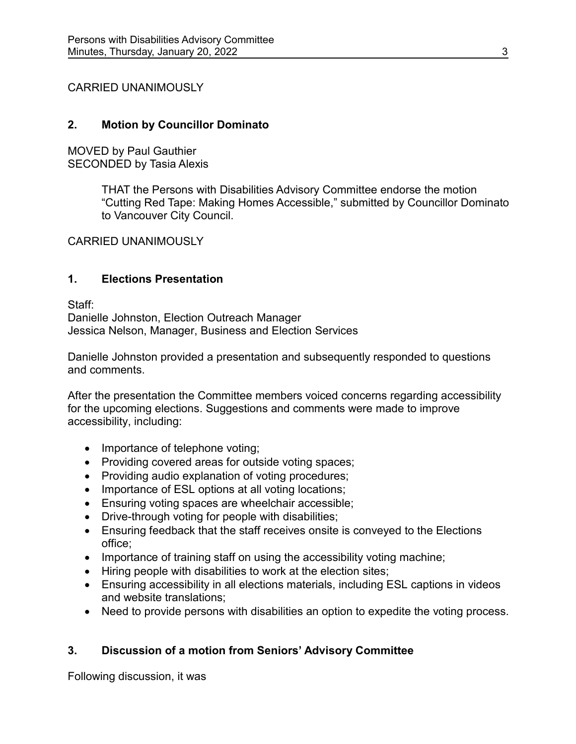CARRIED UNANIMOUSLY

# **2. Motion by Councillor Dominato**

MOVED by Paul Gauthier SECONDED by Tasia Alexis

> THAT the Persons with Disabilities Advisory Committee endorse the motion "Cutting Red Tape: Making Homes Accessible," submitted by Councillor Dominato to Vancouver City Council.

CARRIED UNANIMOUSLY

# **1. Elections Presentation**

Staff:

Danielle Johnston, Election Outreach Manager Jessica Nelson, Manager, Business and Election Services

Danielle Johnston provided a presentation and subsequently responded to questions and comments.

After the presentation the Committee members voiced concerns regarding accessibility for the upcoming elections. Suggestions and comments were made to improve accessibility, including:

- Importance of telephone voting;
- Providing covered areas for outside voting spaces;
- Providing audio explanation of voting procedures;
- Importance of ESL options at all voting locations;
- Ensuring voting spaces are wheelchair accessible;
- Drive-through voting for people with disabilities;
- Ensuring feedback that the staff receives onsite is conveyed to the Elections office;
- Importance of training staff on using the accessibility voting machine;
- Hiring people with disabilities to work at the election sites;
- Ensuring accessibility in all elections materials, including ESL captions in videos and website translations;
- Need to provide persons with disabilities an option to expedite the voting process.

# **3. Discussion of a motion from Seniors' Advisory Committee**

Following discussion, it was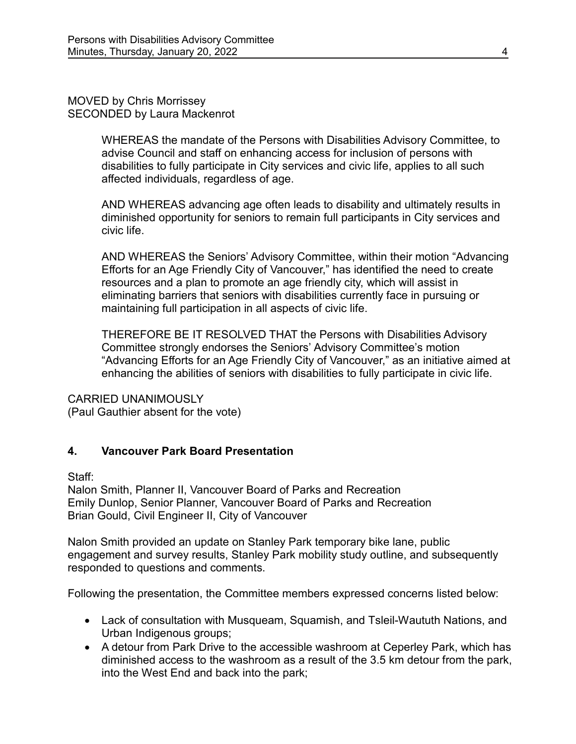MOVED by Chris Morrissey SECONDED by Laura Mackenrot

> WHEREAS the mandate of the Persons with Disabilities Advisory Committee, to advise Council and staff on enhancing access for inclusion of persons with disabilities to fully participate in City services and civic life, applies to all such affected individuals, regardless of age.

> AND WHEREAS advancing age often leads to disability and ultimately results in diminished opportunity for seniors to remain full participants in City services and civic life.

AND WHEREAS the Seniors' Advisory Committee, within their motion "Advancing Efforts for an Age Friendly City of Vancouver," has identified the need to create resources and a plan to promote an age friendly city, which will assist in eliminating barriers that seniors with disabilities currently face in pursuing or maintaining full participation in all aspects of civic life.

THEREFORE BE IT RESOLVED THAT the Persons with Disabilities Advisory Committee strongly endorses the Seniors' Advisory Committee's motion "Advancing Efforts for an Age Friendly City of Vancouver," as an initiative aimed at enhancing the abilities of seniors with disabilities to fully participate in civic life.

## CARRIED UNANIMOUSLY

(Paul Gauthier absent for the vote)

# **4. Vancouver Park Board Presentation**

Staff:

Nalon Smith, Planner II, Vancouver Board of Parks and Recreation Emily Dunlop, Senior Planner, Vancouver Board of Parks and Recreation Brian Gould, Civil Engineer II, City of Vancouver

Nalon Smith provided an update on Stanley Park temporary bike lane, public engagement and survey results, Stanley Park mobility study outline, and subsequently responded to questions and comments.

Following the presentation, the Committee members expressed concerns listed below:

- Lack of consultation with Musqueam, Squamish, and Tsleil-Waututh Nations, and Urban Indigenous groups;
- A detour from Park Drive to the accessible washroom at Ceperley Park, which has diminished access to the washroom as a result of the 3.5 km detour from the park, into the West End and back into the park;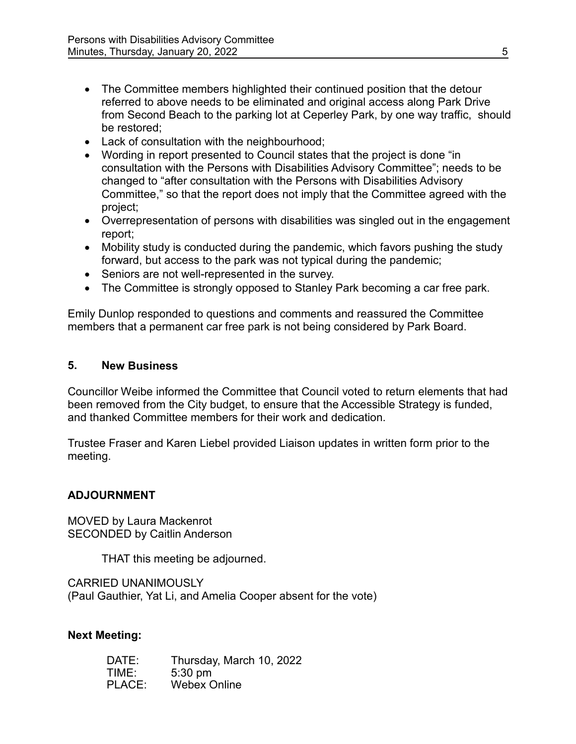- The Committee members highlighted their continued position that the detour referred to above needs to be eliminated and original access along Park Drive from Second Beach to the parking lot at Ceperley Park, by one way traffic, should be restored;
- Lack of consultation with the neighbourhood;
- Wording in report presented to Council states that the project is done "in consultation with the Persons with Disabilities Advisory Committee"; needs to be changed to "after consultation with the Persons with Disabilities Advisory Committee," so that the report does not imply that the Committee agreed with the project;
- Overrepresentation of persons with disabilities was singled out in the engagement report;
- Mobility study is conducted during the pandemic, which favors pushing the study forward, but access to the park was not typical during the pandemic;
- Seniors are not well-represented in the survey.
- The Committee is strongly opposed to Stanley Park becoming a car free park.

Emily Dunlop responded to questions and comments and reassured the Committee members that a permanent car free park is not being considered by Park Board.

### **5. New Business**

Councillor Weibe informed the Committee that Council voted to return elements that had been removed from the City budget, to ensure that the Accessible Strategy is funded, and thanked Committee members for their work and dedication.

Trustee Fraser and Karen Liebel provided Liaison updates in written form prior to the meeting.

## **ADJOURNMENT**

MOVED by Laura Mackenrot SECONDED by Caitlin Anderson

THAT this meeting be adjourned.

CARRIED UNANIMOUSLY (Paul Gauthier, Yat Li, and Amelia Cooper absent for the vote)

## **Next Meeting:**

| DATE:  | Thursday, March 10, 2022 |
|--------|--------------------------|
| TIME:  | $5:30$ pm                |
| PLACE: | <b>Webex Online</b>      |